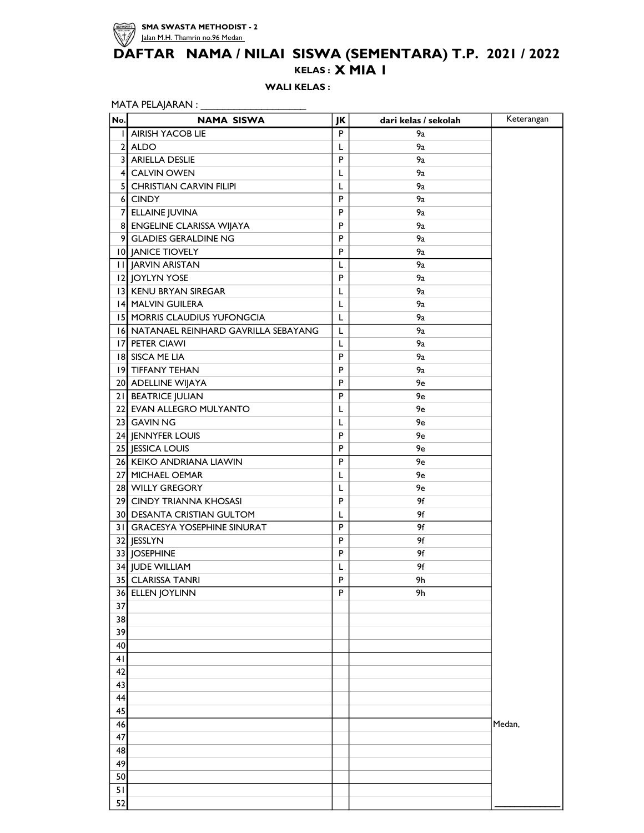

## KELAS : X MIA 1 DAFTAR NAMA / NILAI SISWA (SEMENTARA) T.P. 2021 / 2022

WALI KELAS :

| No. | <b>NAMA SISWA</b>                      | JK | dari kelas / sekolah | Keterangan |
|-----|----------------------------------------|----|----------------------|------------|
|     | <b>I AIRISH YACOB LIE</b>              | P  | 9a                   |            |
|     | 2 ALDO                                 | L  | 9a                   |            |
|     | 3 ARIELLA DESLIE                       | P  | 9a                   |            |
|     | 4 CALVIN OWEN                          | L  | 9a                   |            |
|     | 5 CHRISTIAN CARVIN FILIPI              | L  | 9a                   |            |
|     | 6 CINDY                                | P  | 9a                   |            |
|     | 7 ELLAINE JUVINA                       | P  | 9а                   |            |
|     | 8 ENGELINE CLARISSA WIJAYA             | P  | 9a                   |            |
|     | 9 GLADIES GERALDINE NG                 | P  | 9a                   |            |
|     | 10 JANICE TIOVELY                      | P  | 9a                   |            |
|     | <b>II JARVIN ARISTAN</b>               | L  | 9а                   |            |
|     | 12 JOYLYN YOSE                         | P  | 9a                   |            |
|     | 13 KENU BRYAN SIREGAR                  | L  | 9a                   |            |
|     | 14 MALVIN GUILERA                      | L  | 9a                   |            |
|     | <b>15 MORRIS CLAUDIUS YUFONGCIA</b>    | L  | 9a                   |            |
|     | 16 NATANAEL REINHARD GAVRILLA SEBAYANG | L  | 9a                   |            |
|     | 17 PETER CIAWI                         | L  | 9a                   |            |
|     | 18 SISCA ME LIA                        | P  | 9a                   |            |
|     | 19 TIFFANY TEHAN                       | P  | 9a                   |            |
|     |                                        | P  | 9e                   |            |
|     | 20 ADELLINE WIJAYA                     | P  | 9e                   |            |
|     | 21 BEATRICE JULIAN                     |    |                      |            |
|     | 22 EVAN ALLEGRO MULYANTO               | L  | 9e                   |            |
|     | 23 GAVIN NG                            | L  | 9e                   |            |
|     | 24 JENNYFER LOUIS                      | P  | 9e                   |            |
|     | 25 JESSICA LOUIS                       | P  | 9e                   |            |
|     | 26 KEIKO ANDRIANA LIAWIN               | P  | 9e                   |            |
|     | 27 MICHAEL OEMAR                       | L  | 9e                   |            |
|     | 28 WILLY GREGORY                       | L  | 9e                   |            |
|     | 29 CINDY TRIANNA KHOSASI               | P  | 9f                   |            |
|     | 30 DESANTA CRISTIAN GULTOM             | L  | 9f                   |            |
|     | 31 GRACESYA YOSEPHINE SINURAT          | P  | 9f                   |            |
|     | 32 JESSLYN                             | P  | 9f                   |            |
|     | 33 JOSEPHINE                           | P  | 9f                   |            |
|     | 34 JUDE WILLIAM                        | L  | 9f                   |            |
|     | 35 CLARISSA TANRI                      | P  | 9h                   |            |
|     | 36 ELLEN JOYLINN                       | P  | 9h                   |            |
| 37  |                                        |    |                      |            |
| 38  |                                        |    |                      |            |
| 39  |                                        |    |                      |            |
| 40  |                                        |    |                      |            |
| 41  |                                        |    |                      |            |
| 42  |                                        |    |                      |            |
| 43  |                                        |    |                      |            |
| 44  |                                        |    |                      |            |
| 45  |                                        |    |                      |            |
| 46  |                                        |    |                      | Medan,     |
| 47  |                                        |    |                      |            |
| 48  |                                        |    |                      |            |
| 49  |                                        |    |                      |            |
| 50  |                                        |    |                      |            |
| 51  |                                        |    |                      |            |
| 52  |                                        |    |                      |            |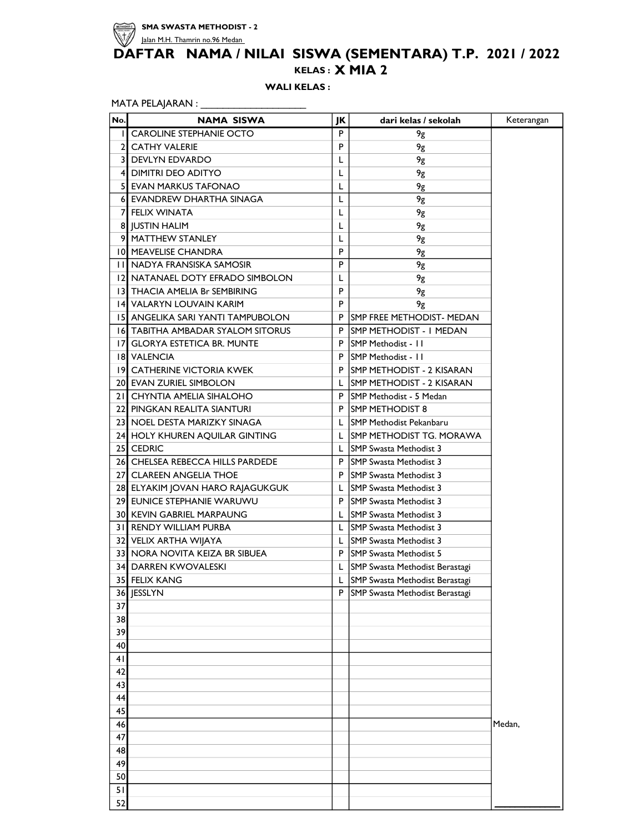

## KELAS : X MIA 2 DAFTAR NAMA / NILAI SISWA (SEMENTARA) T.P. 2021 / 2022

WALI KELAS :

MATA PELAJARAN : \_\_\_\_\_\_\_\_\_\_\_\_\_\_\_\_\_\_\_\_\_\_\_\_\_

| No. | <b>NAMA SISWA</b>                        | JK | dari kelas / sekolah              | Keterangan |
|-----|------------------------------------------|----|-----------------------------------|------------|
|     | I CAROLINE STEPHANIE OCTO                | P  | 9g                                |            |
|     | 2 CATHY VALERIE                          | P  | 9g                                |            |
|     | 3 DEVLYN EDVARDO                         | L  | 9g                                |            |
|     | 4 DIMITRI DEO ADITYO                     | L  | 9g                                |            |
|     | <b>5 EVAN MARKUS TAFONAO</b>             | L  | 9g                                |            |
|     | 6 EVANDREW DHARTHA SINAGA                | L  | 9g                                |            |
|     | <b>7 FELIX WINATA</b>                    | L  | 9g                                |            |
|     | 8 JUSTIN HALIM                           | L  | 9g                                |            |
|     | 9 MATTHEW STANLEY                        | L  | 9g                                |            |
|     | 10 MEAVELISE CHANDRA                     | P  | 9g                                |            |
|     | <b>II NADYA FRANSISKA SAMOSIR</b>        | P  | 9g                                |            |
|     | 12 NATANAEL DOTY EFRADO SIMBOLON         | L  | 9g                                |            |
|     | 13 THACIA AMELIA Br SEMBIRING            | P  | 9g                                |            |
|     | 14 VALARYN LOUVAIN KARIM                 | P  | 9g                                |            |
|     | 15   ANGELIKA SARI YANTI TAMPUBOLON      | P  | <b>ISMP FREE METHODIST- MEDAN</b> |            |
|     | <b>16 TABITHA AMBADAR SYALOM SITORUS</b> | P  | ISMP METHODIST - I MEDAN          |            |
|     | 17 GLORYA ESTETICA BR. MUNTE             |    | P SMP Methodist - 11              |            |
|     | <b>18 VALENCIA</b>                       |    | P SMP Methodist - 11              |            |
|     | 19 CATHERINE VICTORIA KWEK               |    | P ISMP METHODIST - 2 KISARAN      |            |
|     | 20 EVAN ZURIEL SIMBOLON                  |    | L ISMP METHODIST - 2 KISARAN      |            |
|     | 21 CHYNTIA AMELIA SIHALOHO               |    | P SMP Methodist - 5 Medan         |            |
|     | 22 PINGKAN REALITA SIANTURI              |    | P ISMP METHODIST 8                |            |
|     | 23 NOEL DESTA MARIZKY SINAGA             |    | L SMP Methodist Pekanbaru         |            |
|     | 24 HOLY KHUREN AQUILAR GINTING           |    | L ISMP METHODIST TG. MORAWA       |            |
|     | 25 CEDRIC                                |    | L SMP Swasta Methodist 3          |            |
|     | 26 CHELSEA REBECCA HILLS PARDEDE         |    | P SMP Swasta Methodist 3          |            |
|     | 27 CLAREEN ANGELIA THOE                  |    |                                   |            |
|     |                                          |    | P SMP Swasta Methodist 3          |            |
|     | 28 ELYAKIM JOVAN HARO RAJAGUKGUK         | L. | <b>SMP</b> Swasta Methodist 3     |            |
|     | 29 EUNICE STEPHANIE WARUWU               |    | P SMP Swasta Methodist 3          |            |
|     | <b>30 KEVIN GABRIEL MARPAUNG</b>         |    | L SMP Swasta Methodist 3          |            |
|     | 31 RENDY WILLIAM PURBA                   |    | L SMP Swasta Methodist 3          |            |
|     | 32 VELIX ARTHA WIJAYA                    |    | L  SMP Swasta Methodist 3         |            |
|     | 33 NORA NOVITA KEIZA BR SIBUEA           |    | P SMP Swasta Methodist 5          |            |
|     | 34] DARREN KWOVALESKI                    |    | L SMP Swasta Methodist Berastagi  |            |
|     | 35 FELIX KANG                            | L  | SMP Swasta Methodist Berastagi    |            |
| 36  | <b>JESSLYN</b>                           | P  | SMP Swasta Methodist Berastagi    |            |
| 37  |                                          |    |                                   |            |
| 38  |                                          |    |                                   |            |
| 39  |                                          |    |                                   |            |
| 40  |                                          |    |                                   |            |
| 41  |                                          |    |                                   |            |
| 42  |                                          |    |                                   |            |
| 43  |                                          |    |                                   |            |
| 44  |                                          |    |                                   |            |
| 45  |                                          |    |                                   |            |
| 46  |                                          |    |                                   | Medan,     |
| 47  |                                          |    |                                   |            |
| 48  |                                          |    |                                   |            |
| 49  |                                          |    |                                   |            |
| 50  |                                          |    |                                   |            |
| 51  |                                          |    |                                   |            |
| 52  |                                          |    |                                   |            |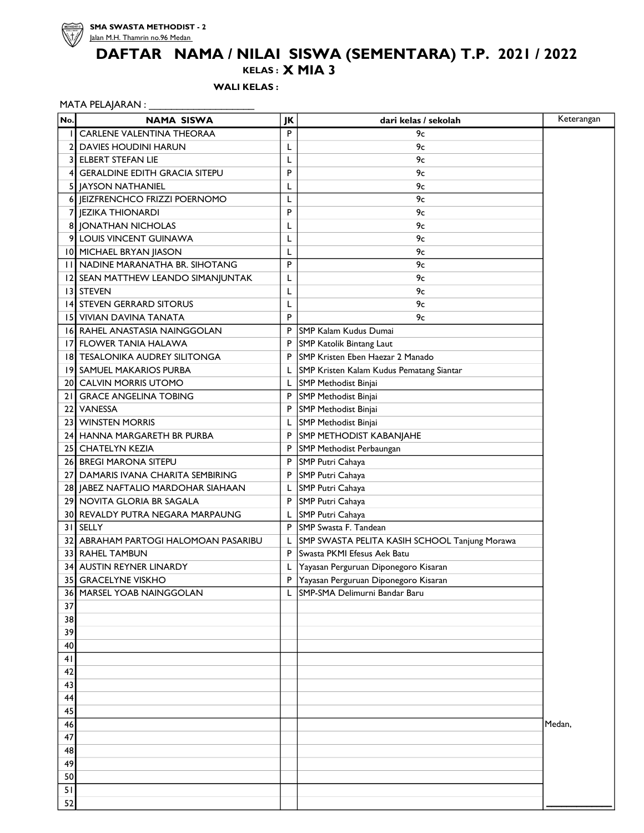

KELAS : X MIA 3

WALI KELAS :

#### MATA PELAJARAN : \_\_\_\_\_\_\_\_\_\_\_\_\_\_\_\_\_\_\_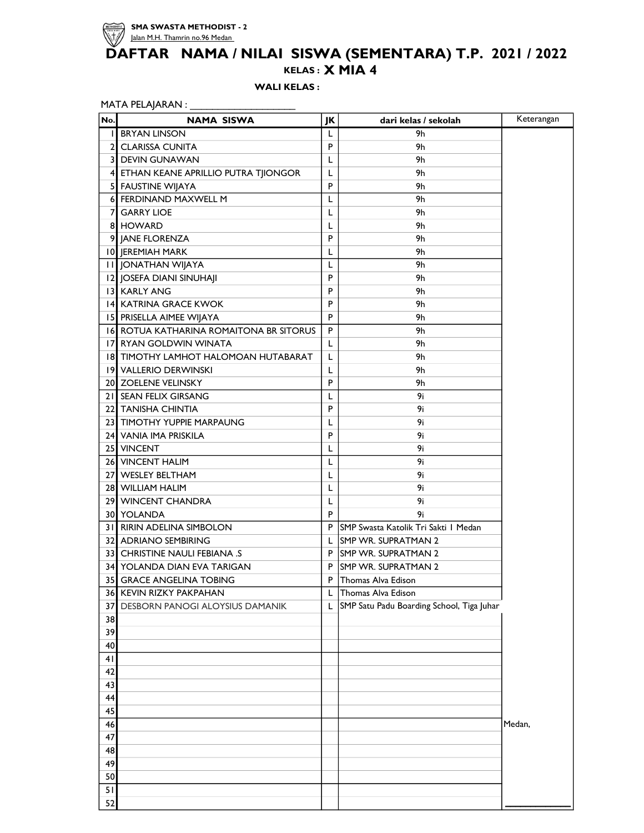

#### KELAS : X MIA 4

WALI KELAS :

| No. | <b>NAMA SISWA</b>                       | JK          | dari kelas / sekolah                      | Keterangan |
|-----|-----------------------------------------|-------------|-------------------------------------------|------------|
| Ш   | <b>BRYAN LINSON</b>                     | L           | 9h                                        |            |
| 2   | <b>CLARISSA CUNITA</b>                  | P           | 9h                                        |            |
|     | <b>3 DEVIN GUNAWAN</b>                  | L           | 9h                                        |            |
|     | 4 ETHAN KEANE APRILLIO PUTRA TJIONGOR   | L           | 9h                                        |            |
| 5   | FAUSTINE WIJAYA                         | P           | 9h                                        |            |
| 6   | <b>FERDINAND MAXWELL M</b>              | L           | 9h                                        |            |
| 7   | <b>GARRY LIOE</b>                       | L           | 9h                                        |            |
|     | 8 HOWARD                                | L           | 9h                                        |            |
|     | 9 JANE FLORENZA                         | P           | 9h                                        |            |
|     | 10 JEREMIAH MARK                        | L           | 9h                                        |            |
|     | <b>II JONATHAN WIJAYA</b>               | L           | 9h                                        |            |
|     | 12 JOSEFA DIANI SINUHAJI                | P           | 9h                                        |            |
|     | 13 KARLY ANG                            | P           | 9h                                        |            |
|     | 14 KATRINA GRACE KWOK                   | P           | 9h                                        |            |
|     | 15 PRISELLA AIMEE WIJAYA                | P           | 9h                                        |            |
|     | 16 ROTUA KATHARINA ROMAITONA BR SITORUS | P           | 9h                                        |            |
|     | 17 RYAN GOLDWIN WINATA                  | L           | 9h                                        |            |
|     | 18 TIMOTHY LAMHOT HALOMOAN HUTABARAT    | L           | 9h                                        |            |
|     | 19 VALLERIO DERWINSKI                   | L           | 9h                                        |            |
|     | 20 ZOELENE VELINSKY                     | P           | 9h                                        |            |
|     | 21 SEAN FELIX GIRSANG                   | L           | 9i                                        |            |
|     | 22 TANISHA CHINTIA                      | P           | 9i                                        |            |
|     | 23 TIMOTHY YUPPIE MARPAUNG              | L           | 9i                                        |            |
|     | 24 VANIA IMA PRISKILA                   | P           | 9i                                        |            |
|     | 25 VINCENT                              | L           | 9i                                        |            |
|     | 26 VINCENT HALIM                        | L           | 9i                                        |            |
|     | 27 WESLEY BELTHAM                       | L           | 9i                                        |            |
|     | 28 WILLIAM HALIM                        | L           | 9i                                        |            |
|     | 29 WINCENT CHANDRA                      | L           | 9i                                        |            |
|     | 30 YOLANDA                              | P           | 9i                                        |            |
|     | 31 RIRIN ADELINA SIMBOLON               | P           | SMP Swasta Katolik Tri Sakti I Medan      |            |
|     | 32 ADRIANO SEMBIRING                    | L           | <b>SMP WR. SUPRATMAN 2</b>                |            |
|     | <b>33 CHRISTINE NAULI FEBIANA .S</b>    | P           | <b>SMP WR. SUPRATMAN 2</b>                |            |
|     | 34 YOLANDA DIAN EVA TARIGAN             | P           | <b>SMP WR. SUPRATMAN 2</b>                |            |
|     | 35 GRACE ANGELINA TOBING                | $\mathsf P$ | Thomas Alva Edison                        |            |
| 36  | KEVIN RIZKY PAKPAHAN                    | L           | Thomas Alva Edison                        |            |
| 37  | DESBORN PANOGI ALOYSIUS DAMANIK         | L           | SMP Satu Padu Boarding School, Tiga Juhar |            |
| 38  |                                         |             |                                           |            |
| 39  |                                         |             |                                           |            |
| 40  |                                         |             |                                           |            |
| 41  |                                         |             |                                           |            |
| 42  |                                         |             |                                           |            |
| 43  |                                         |             |                                           |            |
| 44  |                                         |             |                                           |            |
| 45  |                                         |             |                                           |            |
| 46  |                                         |             |                                           | Medan,     |
| 47  |                                         |             |                                           |            |
| 48  |                                         |             |                                           |            |
| 49  |                                         |             |                                           |            |
| 50  |                                         |             |                                           |            |
| 51  |                                         |             |                                           |            |
| 52  |                                         |             |                                           |            |
|     |                                         |             |                                           |            |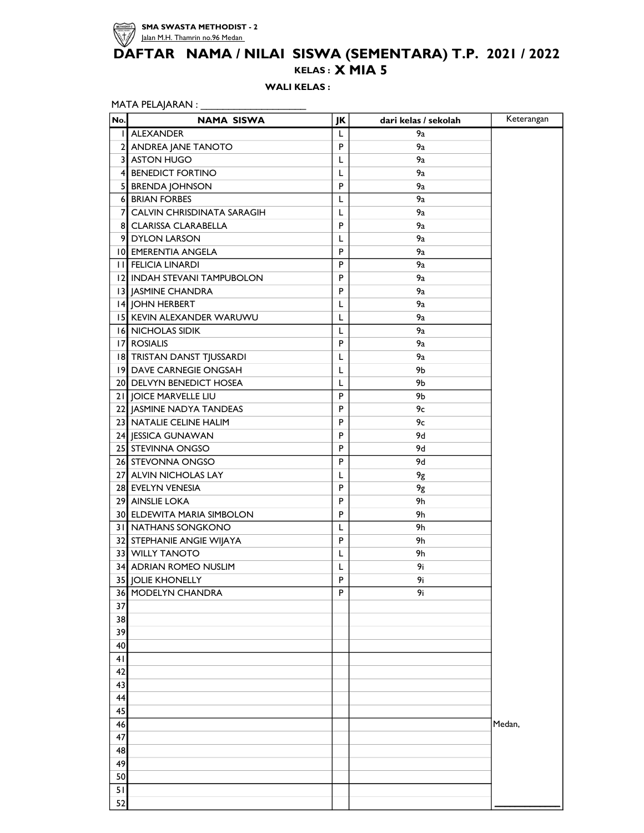

## KELAS : X MIA 5 DAFTAR NAMA / NILAI SISWA (SEMENTARA) T.P. 2021 / 2022

WALI KELAS :

| No. | <b>NAMA SISWA</b>            | JK | dari kelas / sekolah | Keterangan |
|-----|------------------------------|----|----------------------|------------|
|     | I ALEXANDER                  | L  | 9a                   |            |
|     | 2 ANDREA JANE TANOTO         | P  | 9a                   |            |
|     | 3 ASTON HUGO                 | L  | 9a                   |            |
|     | 4 BENEDICT FORTINO           | L  | 9а                   |            |
|     | 5 BRENDA JOHNSON             | P  | 9a                   |            |
|     | 6 BRIAN FORBES               | L  | 9a                   |            |
|     | 7 CALVIN CHRISDINATA SARAGIH | L  | 9а                   |            |
|     | <b>8 CLARISSA CLARABELLA</b> | P  | 9a                   |            |
|     | 9 DYLON LARSON               | L  | 9a                   |            |
|     | 10 EMERENTIA ANGELA          | P  | 9a                   |            |
|     | <b>II FELICIA LINARDI</b>    | P  | 9а                   |            |
|     | 12 INDAH STEVANI TAMPUBOLON  | P  | 9a                   |            |
|     | 13 JASMINE CHANDRA           | P  | 9а                   |            |
|     | 14 JOHN HERBERT              | L  | 9a                   |            |
|     | 15 KEVIN ALEXANDER WARUWU    | L  | 9a                   |            |
|     | <b>16 NICHOLAS SIDIK</b>     | L  | 9a                   |            |
|     | 17 ROSIALIS                  | P  | 9a                   |            |
|     | 18 TRISTAN DANST TJUSSARDI   | L  | 9a                   |            |
|     | 19 DAVE CARNEGIE ONGSAH      | L  | 9b                   |            |
|     | 20 DELVYN BENEDICT HOSEA     | L  | 9b                   |            |
|     | 21 JOICE MARVELLE LIU        | P  | 9b                   |            |
|     | 22 JASMINE NADYA TANDEAS     | P  | 9с                   |            |
|     | 23 NATALIE CELINE HALIM      | P  | 9с                   |            |
|     | 24 JESSICA GUNAWAN           | P  | 9d                   |            |
|     | 25 STEVINNA ONGSO            | P  | 9d                   |            |
|     | 26 STEVONNA ONGSO            | P  | 9d                   |            |
|     | 27 ALVIN NICHOLAS LAY        | L  | 9g                   |            |
|     | 28 EVELYN VENESIA            | P  | 9g                   |            |
|     | 29 AINSLIE LOKA              | P  | 9h                   |            |
|     | 30 ELDEWITA MARIA SIMBOLON   | P  | 9h                   |            |
|     | <b>31 NATHANS SONGKONO</b>   | L  | 9h                   |            |
|     | 32 STEPHANIE ANGIE WIJAYA    | P  | 9h                   |            |
|     | 33 WILLY TANOTO              | L  | 9h                   |            |
|     | 34 ADRIAN ROMEO NUSLIM       | L  | 9i                   |            |
|     | 35 JOLIE KHONELLY            | P  | 9i                   |            |
|     | <b>36 MODELYN CHANDRA</b>    | P  | 9i                   |            |
| 37  |                              |    |                      |            |
| 38  |                              |    |                      |            |
| 39  |                              |    |                      |            |
| 40  |                              |    |                      |            |
| 41  |                              |    |                      |            |
| 42  |                              |    |                      |            |
| 43  |                              |    |                      |            |
| 44  |                              |    |                      |            |
| 45  |                              |    |                      |            |
| 46  |                              |    |                      | Medan,     |
| 47  |                              |    |                      |            |
| 48  |                              |    |                      |            |
| 49  |                              |    |                      |            |
| 50  |                              |    |                      |            |
| 51  |                              |    |                      |            |
| 52  |                              |    |                      |            |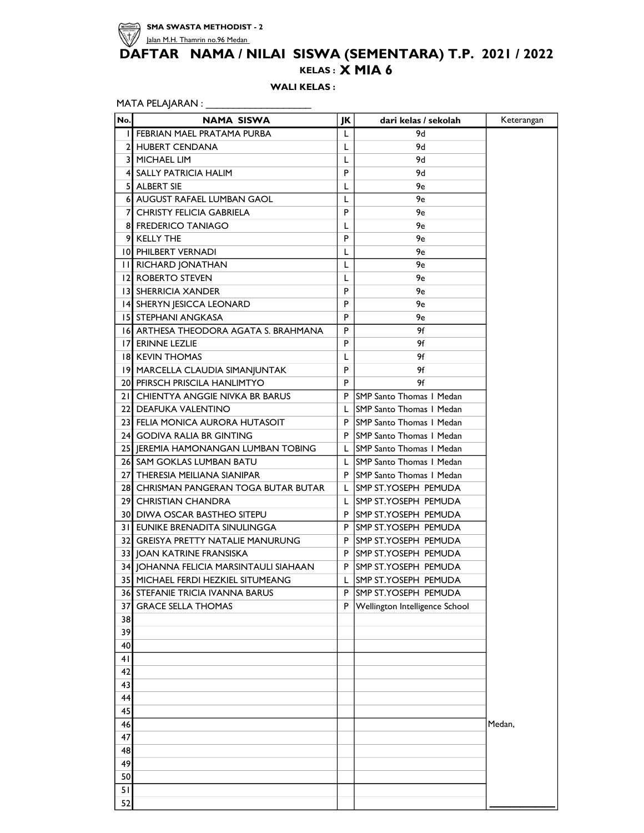

## KELAS : X MIA 6 DAFTAR NAMA / NILAI SISWA (SEMENTARA) T.P. 2021 / 2022

WALI KELAS:

| No. | NAMA SISWA                             | JK | dari kelas / sekolah            | Keterangan |
|-----|----------------------------------------|----|---------------------------------|------------|
|     | FEBRIAN MAEL PRATAMA PURBA             | L  | 9d                              |            |
|     | 2 HUBERT CENDANA                       | L  | 9d                              |            |
| 31  | MICHAEL LIM                            | L  | 9d                              |            |
|     | 4 SALLY PATRICIA HALIM                 | P  | 9d                              |            |
| 51  | ALBERT SIE                             | L  | 9e                              |            |
|     | 6 AUGUST RAFAEL LUMBAN GAOL            | L  | 9e                              |            |
| 7   | <b>CHRISTY FELICIA GABRIELA</b>        | P  | 9e                              |            |
|     | 8 FREDERICO TANIAGO                    | L  | 9e                              |            |
|     | 9 KELLY THE                            | P  | 9e                              |            |
|     | 10 PHILBERT VERNADI                    | L  | 9e                              |            |
|     | <b>II RICHARD JONATHAN</b>             | L  | 9e                              |            |
|     | 12 ROBERTO STEVEN                      | L  | 9e                              |            |
|     | <b>13 SHERRICIA XANDER</b>             | P  | 9e                              |            |
|     | 14 SHERYN JESICCA LEONARD              | P  | 9e                              |            |
|     | <b>15 STEPHANI ANGKASA</b>             | P  | 9e                              |            |
|     | 16 ARTHESA THEODORA AGATA S. BRAHMANA  | P  | 9f                              |            |
|     | <b>17 ERINNE LEZLIE</b>                | P  | 9f                              |            |
|     | <b>18 KEVIN THOMAS</b>                 | L  | 9f                              |            |
|     | 19 MARCELLA CLAUDIA SIMANJUNTAK        | P  | 9f                              |            |
|     | 20 PFIRSCH PRISCILA HANLIMTYO          | P  | 9f                              |            |
|     | 21 CHIENTYA ANGGIE NIVKA BR BARUS      |    | P ISMP Santo Thomas I Medan     |            |
|     | 22 DEAFUKA VALENTINO                   | L  | ISMP Santo Thomas I Medan       |            |
|     | 23 FELIA MONICA AURORA HUTASOIT        |    | P SMP Santo Thomas I Medan      |            |
|     | 24 GODIVA RALIA BR GINTING             | P  | <b>SMP Santo Thomas I Medan</b> |            |
|     | 25 JEREMIA HAMONANGAN LUMBAN TOBING    | L  | SMP Santo Thomas I Medan        |            |
|     | 26 SAM GOKLAS LUMBAN BATU              | L. | SMP Santo Thomas I Medan        |            |
|     | 27 THERESIA MEILIANA SIANIPAR          |    | P SMP Santo Thomas I Medan      |            |
|     | 28 CHRISMAN PANGERAN TOGA BUTAR BUTAR  | L  | SMP ST.YOSEPH PEMUDA            |            |
|     | 29 CHRISTIAN CHANDRA                   | L  | ISMP ST.YOSEPH PEMUDA           |            |
|     | <b>30 DIWA OSCAR BASTHEO SITEPU</b>    |    | P ISMP ST.YOSEPH PEMUDA         |            |
|     | 31 EUNIKE BRENADITA SINULINGGA         | P. | <b>SMP ST. YOSEPH PEMUDA</b>    |            |
|     | 32 GREISYA PRETTY NATALIE MANURUNG     |    | P SMP ST. YOSEPH PEMUDA         |            |
|     | 33 JOAN KATRINE FRANSISKA              |    | P SMP ST. YOSEPH PEMUDA         |            |
|     | 34 JOHANNA FELICIA MARSINTAULI SIAHAAN |    | P SMP ST. YOSEPH PEMUDA         |            |
|     | 35 MICHAEL FERDI HEZKIEL SITUMEANG     | L  | SMP ST.YOSEPH PEMUDA            |            |
|     | 36 STEFANIE TRICIA IVANNA BARUS        | P  | SMP ST.YOSEPH PEMUDA            |            |
| 37  | <b>GRACE SELLA THOMAS</b>              | P  | Wellington Intelligence School  |            |
| 38  |                                        |    |                                 |            |
| 39  |                                        |    |                                 |            |
| 40  |                                        |    |                                 |            |
| 41  |                                        |    |                                 |            |
| 42  |                                        |    |                                 |            |
| 43  |                                        |    |                                 |            |
| 44  |                                        |    |                                 |            |
| 45  |                                        |    |                                 |            |
| 46  |                                        |    |                                 | Medan,     |
| 47  |                                        |    |                                 |            |
| 48  |                                        |    |                                 |            |
| 49  |                                        |    |                                 |            |
| 50  |                                        |    |                                 |            |
| 51  |                                        |    |                                 |            |
| 52  |                                        |    |                                 |            |
|     |                                        |    |                                 |            |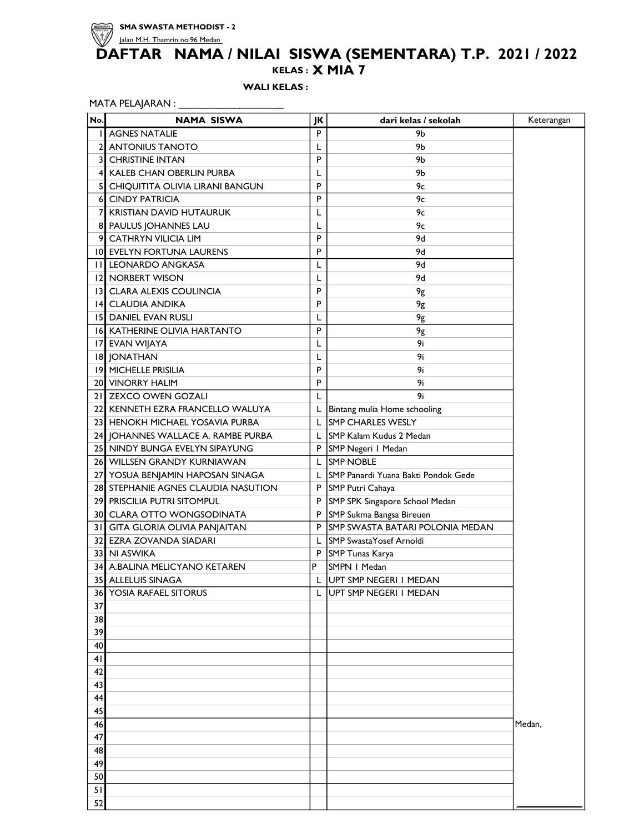

#### KELAS : DAFTAR NAMA / NILAI SISWA (SEMENTARA) T.P. 2021 / 2022 X MIA 7

### WALI KELAS :

MATA PELAJARAN : \_\_\_\_\_\_\_\_\_\_\_\_\_\_\_\_\_\_\_\_\_\_\_\_

| No.            | <b>NAMA SISWA</b>                   | JK | dari kelas / sekolah                | Keterangan |
|----------------|-------------------------------------|----|-------------------------------------|------------|
|                | <b>I</b> AGNES NATALIE              | P  | 9b                                  |            |
| $\overline{2}$ | <b>ANTONIUS TANOTO</b>              | L  | 9b                                  |            |
| 3I             | <b>CHRISTINE INTAN</b>              | P  | 9b                                  |            |
| 41             | KALEB CHAN OBERLIN PURBA            | L  | 9b                                  |            |
| 51             | CHIQUITITA OLIVIA LIRANI BANGUN     | P  | 9с                                  |            |
| 6              | <b>CINDY PATRICIA</b>               | P  | 9c                                  |            |
| 71             | <b>KRISTIAN DAVID HUTAURUK</b>      | L  | 9с                                  |            |
| 81             | PAULUS JOHANNES LAU                 | L  | 9с                                  |            |
| 9              | <b>CATHRYN VILICIA LIM</b>          | P  | 9d                                  |            |
|                | 10 EVELYN FORTUNA LAURENS           | P  | 9d                                  |            |
| Ш              | <b>LEONARDO ANGKASA</b>             | L  | 9d                                  |            |
| 2              | <b>NORBERT WISON</b>                | L  | 9d                                  |            |
|                | 13 CLARA ALEXIS COULINCIA           | P  | 9g                                  |            |
|                | 14 CLAUDIA ANDIKA                   | P  | 9g                                  |            |
|                | <b>15 DANIEL EVAN RUSLI</b>         | L  | 9g                                  |            |
|                | <b>16 KATHERINE OLIVIA HARTANTO</b> | P  | 9g                                  |            |
|                | 17 EVAN WIJAYA                      | L  | 9i                                  |            |
|                | 18 JONATHAN                         |    | 9i                                  |            |
|                | 19 MICHELLE PRISILIA                | P  | 9i                                  |            |
|                | <b>20 VINORRY HALIM</b>             | P  | 9i                                  |            |
|                | 21 ZEXCO OWEN GOZALI                | L  | 9i                                  |            |
|                | 22 KENNETH EZRA FRANCELLO WALUYA    | L  | Bintang mulia Home schooling        |            |
|                | 23 HENOKH MICHAEL YOSAVIA PURBA     | L  | <b>SMP CHARLES WESLY</b>            |            |
|                | 24 JOHANNES WALLACE A. RAMBE PURBA  | L  | SMP Kalam Kudus 2 Medan             |            |
|                | 25 NINDY BUNGA EVELYN SIPAYUNG      |    | P   SMP Negeri   Medan              |            |
|                | 26 WILLSEN GRANDY KURNIAWAN         | L. | <b>ISMP NOBLE</b>                   |            |
|                | 27 YOSUA BENJAMIN HAPOSAN SINAGA    | L. | SMP Panardi Yuana Bakti Pondok Gede |            |
|                | 28 STEPHANIE AGNES CLAUDIA NASUTION |    | P SMP Putri Cahaya                  |            |
|                | 29 PRISCILIA PUTRI SITOMPUL         | P  | SMP SPK Singapore School Medan      |            |
|                | 30 CLARA OTTO WONGSODINATA          | P  | SMP Sukma Bangsa Bireuen            |            |
|                | 31 GITA GLORIA OLIVIA PANJAITAN     | P  | SMP SWASTA BATARI POLONIA MEDAN     |            |
| 32 I           | EZRA ZOVANDA SIADARI                | L  | SMP SwastaYosef Arnoldi             |            |
|                | 33] NI ASWIKA                       | P  | SMP Tunas Karya                     |            |
|                | 34 A.BALINA MELICYANO KETAREN       | P  | SMPN   Medan                        |            |
|                | <b>35 ALLELUIS SINAGA</b>           |    | UPT SMP NEGERI I MEDAN              |            |
| 36             | YOSIA RAFAEL SITORUS                |    | UPT SMP NEGERI I MEDAN              |            |
| 37             |                                     |    |                                     |            |
| 38             |                                     |    |                                     |            |
| 39             |                                     |    |                                     |            |
| 40             |                                     |    |                                     |            |
| 41             |                                     |    |                                     |            |
| 42             |                                     |    |                                     |            |
| 43             |                                     |    |                                     |            |
| 44             |                                     |    |                                     |            |
| 45             |                                     |    |                                     |            |
| 46             |                                     |    |                                     | Medan,     |
| 47             |                                     |    |                                     |            |
| 48             |                                     |    |                                     |            |
| 49             |                                     |    |                                     |            |
| 50             |                                     |    |                                     |            |
| 51             |                                     |    |                                     |            |
| 52             |                                     |    |                                     |            |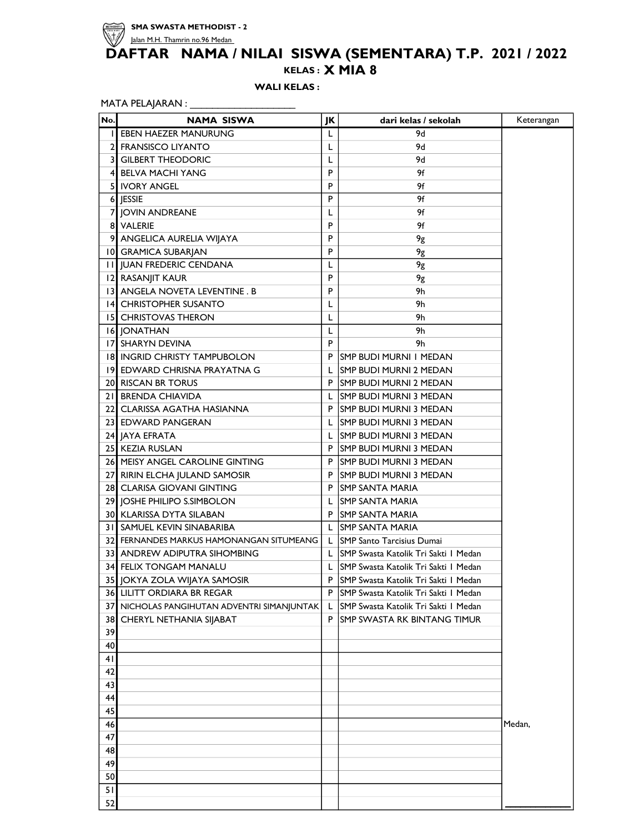

KELAS : X MIA 8

WALI KELAS :

| No. | <b>NAMA SISWA</b>                        | JK | dari kelas / sekolah                   | Keterangan |
|-----|------------------------------------------|----|----------------------------------------|------------|
|     | I EBEN HAEZER MANURUNG                   | L  | 9d                                     |            |
|     | 2 FRANSISCO LIYANTO                      | L  | 9d                                     |            |
|     | 3 GILBERT THEODORIC                      | L  | 9d                                     |            |
|     | <b>4 BELVA MACHI YANG</b>                | P  | 9f                                     |            |
| 5   | IVORY ANGEL                              | P  | 9f                                     |            |
|     | 6 JESSIE                                 | P  | 9f                                     |            |
|     | 7 JOVIN ANDREANE                         | L  | 9f                                     |            |
|     | 8 VALERIE                                | P  | 9f                                     |            |
|     | 9 ANGELICA AURELIA WIJAYA                | P  | 9g                                     |            |
|     | 10 GRAMICA SUBARJAN                      | P  | 9g                                     |            |
|     | <b>II JUAN FREDERIC CENDANA</b>          | L  | 9g                                     |            |
|     | 12 RASANJIT KAUR                         | P  | 9g                                     |            |
|     | 13 ANGELA NOVETA LEVENTINE. B            | P  | 9h                                     |            |
|     | 14 CHRISTOPHER SUSANTO                   | L  | 9h                                     |            |
|     | <b>15 CHRISTOVAS THERON</b>              | L  | 9h                                     |            |
|     | 16 JONATHAN                              | L  | 9h                                     |            |
|     | <b>17 SHARYN DEVINA</b>                  | P  | 9h                                     |            |
|     | <b>18 INGRID CHRISTY TAMPUBOLON</b>      | P  | <b>SMP BUDI MURNI I MEDAN</b>          |            |
|     | 19 EDWARD CHRISNA PRAYATNA G             | L  | <b>SMP BUDI MURNI 2 MEDAN</b>          |            |
|     | 20 RISCAN BR TORUS                       |    | P SMP BUDI MURNI 2 MEDAN               |            |
|     | 21 BRENDA CHIAVIDA                       | L  | <b>SMP BUDI MURNI 3 MEDAN</b>          |            |
|     | 22 CLARISSA AGATHA HASIANNA              | P. | <b>SMP BUDI MURNI 3 MEDAN</b>          |            |
|     | 23 EDWARD PANGERAN                       | L  | <b>SMP BUDI MURNI 3 MEDAN</b>          |            |
|     | 24 JAYA EFRATA                           | L  | <b>SMP BUDI MURNI 3 MEDAN</b>          |            |
|     | 25 KEZIA RUSLAN                          | P  | <b>SMP BUDI MURNI 3 MEDAN</b>          |            |
|     | 26 MEISY ANGEL CAROLINE GINTING          | P  | <b>SMP BUDI MURNI 3 MEDAN</b>          |            |
|     | 27 RIRIN ELCHA JULAND SAMOSIR            | P  | <b>SMP BUDI MURNI 3 MEDAN</b>          |            |
|     | 28 CLARISA GIOVANI GINTING               | P  | <b>SMP SANTA MARIA</b>                 |            |
|     | 29 JOSHE PHILIPO S.SIMBOLON              | L  | ISMP SANTA MARIA                       |            |
|     | 30 KLARISSA DYTA SILABAN                 | P  | <b>SMP SANTA MARIA</b>                 |            |
|     | 31 SAMUEL KEVIN SINABARIBA               | L  | <b>ISMP SANTA MARIA</b>                |            |
|     | 32 FERNANDES MARKUS HAMONANGAN SITUMEANG |    | L SMP Santo Tarcisius Dumai            |            |
|     | 33 ANDREW ADIPUTRA SIHOMBING             |    | L SMP Swasta Katolik Tri Sakti I Medan |            |
|     | <b>34 FELIX TONGAM MANALU</b>            | L. | SMP Swasta Katolik Tri Sakti I Medan   |            |
|     | 35 JOKYA ZOLA WIJAYA SAMOSIR             | P  | SMP Swasta Katolik Tri Sakti I Medan   |            |
|     | <b>36 LILITT ORDIARA BR REGAR</b>        | P  | SMP Swasta Katolik Tri Sakti I Medan   |            |
| 37  | NICHOLAS PANGIHUTAN ADVENTRI SIMANJUNTAK | L  | SMP Swasta Katolik Tri Sakti I Medan   |            |
| 38  | CHERYL NETHANIA SIJABAT                  | P  | ISMP SWASTA RK BINTANG TIMUR           |            |
| 39  |                                          |    |                                        |            |
| 40  |                                          |    |                                        |            |
| 41  |                                          |    |                                        |            |
| 42  |                                          |    |                                        |            |
| 43  |                                          |    |                                        |            |
| 44  |                                          |    |                                        |            |
| 45  |                                          |    |                                        |            |
| 46  |                                          |    |                                        | Medan,     |
| 47  |                                          |    |                                        |            |
| 48  |                                          |    |                                        |            |
| 49  |                                          |    |                                        |            |
| 50  |                                          |    |                                        |            |
| 51  |                                          |    |                                        |            |
| 52  |                                          |    |                                        |            |
|     |                                          |    |                                        |            |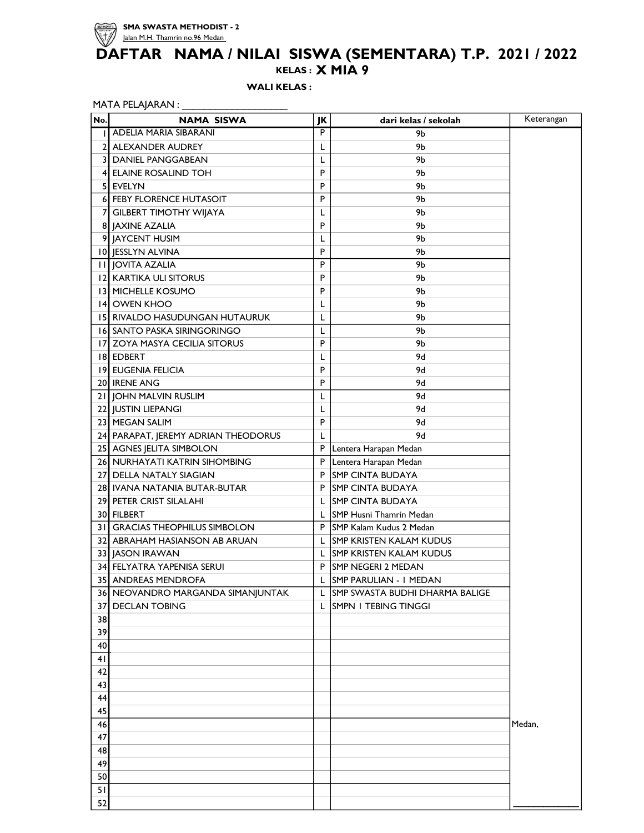

#### KELAS : DAFTAR NAMA / NILAI SISWA (SEMENTARA) T.P. 2021 / 2022 X MIA 9

WALI KELAS :

| MATA PELAJARAN : |  |  |
|------------------|--|--|
|------------------|--|--|

| No. | <b>NAMA SISWA</b>                   | JK | dari kelas / sekolah            | Keterangan |
|-----|-------------------------------------|----|---------------------------------|------------|
| Ш   | ADELIA MARIA SIBARANI               | P  | 9b                              |            |
| 21  | <b>ALEXANDER AUDREY</b>             | L  | 9b                              |            |
|     | <b>3 DANIEL PANGGABEAN</b>          | L  | 9b                              |            |
|     | 4 ELAINE ROSALIND TOH               | P  | 9b                              |            |
|     | 5 EVELYN                            | P  | 9b                              |            |
|     | <b>6 FEBY FLORENCE HUTASOIT</b>     | P  | 9b                              |            |
|     | 7 GILBERT TIMOTHY WIJAYA            | L  | 9b                              |            |
|     | 8 JAXINE AZALIA                     | P  | 9b                              |            |
|     | 9 JAYCENT HUSIM                     | L  | 9Ь                              |            |
|     | 10 JESSLYN ALVINA                   | P  | 9b                              |            |
|     | <b>II JOVITA AZALIA</b>             | P  | 9b                              |            |
|     | 12 KARTIKA ULI SITORUS              | P  | 9b                              |            |
|     | 13 MICHELLE KOSUMO                  | P  | 9b                              |            |
|     | 14 OWEN KHOO                        | L  | 9b                              |            |
|     | 15 RIVALDO HASUDUNGAN HUTAURUK      | L  | 9b                              |            |
|     | 16 SANTO PASKA SIRINGORINGO         | L  | 9b                              |            |
|     | 17 ZOYA MASYA CECILIA SITORUS       | P  | 9b                              |            |
|     | <b>18 EDBERT</b>                    | L  | 9d                              |            |
|     | 19 EUGENIA FELICIA                  | P  | 9d                              |            |
|     | 20 IRENE ANG                        | P  | 9d                              |            |
|     | 21 JOHN MALVIN RUSLIM               | L  | 9d                              |            |
|     | 22 JUSTIN LIEPANGI                  | L  | 9d                              |            |
|     | 23 MEGAN SALIM                      | P  | 9d                              |            |
|     | 24 PARAPAT, JEREMY ADRIAN THEODORUS | L  | 9d                              |            |
|     | 25 AGNES JELITA SIMBOLON            | P  | Lentera Harapan Medan           |            |
|     | 26 NURHAYATI KATRIN SIHOMBING       | P  | Lentera Harapan Medan           |            |
|     | 27 DELLA NATALY SIAGIAN             | P  | <b>SMP CINTA BUDAYA</b>         |            |
|     | 28 IVANA NATANIA BUTAR-BUTAR        | P  | <b>SMP CINTA BUDAYA</b>         |            |
|     | 29 PETER CRIST SILALAHI             | L  | <b>SMP CINTA BUDAYA</b>         |            |
|     | 30 FILBERT                          | L  | SMP Husni Thamrin Medan         |            |
|     | 31 GRACIAS THEOPHILUS SIMBOLON      |    | P SMP Kalam Kudus 2 Medan       |            |
|     | 32 ABRAHAM HASIANSON AB ARUAN       | L  | <b>SMP KRISTEN KALAM KUDUS</b>  |            |
|     | 33 JASON IRAWAN                     | L  | <b>ISMP KRISTEN KALAM KUDUS</b> |            |
|     | 34 FELYATRA YAPENISA SERUI          | P  | <b>SMP NEGERI 2 MEDAN</b>       |            |
|     | 35 ANDREAS MENDROFA                 |    | SMP PARULIAN - I MEDAN          |            |
| 36  | NEOVANDRO MARGANDA SIMANJUNTAK      | L  | SMP SWASTA BUDHI DHARMA BALIGE  |            |
| 37  | <b>DECLAN TOBING</b>                | L  | SMPN I TEBING TINGGI            |            |
| 38  |                                     |    |                                 |            |
| 39  |                                     |    |                                 |            |
| 40  |                                     |    |                                 |            |
| 41  |                                     |    |                                 |            |
| 42  |                                     |    |                                 |            |
| 43  |                                     |    |                                 |            |
| 44  |                                     |    |                                 |            |
| 45  |                                     |    |                                 |            |
| 46  |                                     |    |                                 | Medan,     |
| 47  |                                     |    |                                 |            |
| 48  |                                     |    |                                 |            |
| 49  |                                     |    |                                 |            |
| 50  |                                     |    |                                 |            |
| 51  |                                     |    |                                 |            |
| 52  |                                     |    |                                 |            |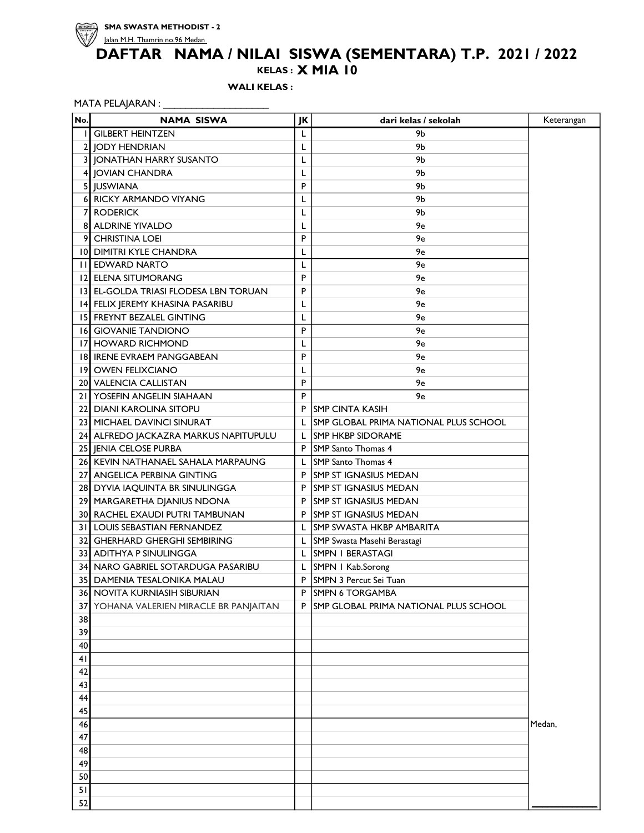

### KELAS : X MIA 10

WALI KELAS :

## MATA PELAJARAN : \_\_\_\_\_\_\_\_\_\_\_\_\_\_\_\_\_\_\_\_\_\_\_\_\_

| No. | <b>NAMA SISWA</b>                      | JK | dari kelas / sekolah                         | Keterangan |
|-----|----------------------------------------|----|----------------------------------------------|------------|
|     | <b>GILBERT HEINTZEN</b>                | L  | 9Ь                                           |            |
|     | 2 IODY HENDRIAN                        | L  | 9b                                           |            |
|     | 3 JONATHAN HARRY SUSANTO               | L  | 9b                                           |            |
|     | 4 JOVIAN CHANDRA                       | L  | 9b                                           |            |
|     | 5 JUSWIANA                             | P  | 9b                                           |            |
|     | 6 RICKY ARMANDO VIYANG                 | L  | 9b                                           |            |
|     | 7 RODERICK                             | L  | 9b                                           |            |
|     | <b>8 ALDRINE YIVALDO</b>               | L  | 9e                                           |            |
|     | 9 CHRISTINA LOEI                       | P  | 9e                                           |            |
|     | 10 DIMITRI KYLE CHANDRA                | L  | 9e                                           |            |
|     | <b>III EDWARD NARTO</b>                | L  | 9e                                           |            |
|     | 12 ELENA SITUMORANG                    | P  | 9e                                           |            |
|     | 13 EL-GOLDA TRIASI FLODESA LBN TORUAN  | P  | 9e                                           |            |
|     | 14 FELIX JEREMY KHASINA PASARIBU       | L  | 9e                                           |            |
|     | <b>15 FREYNT BEZALEL GINTING</b>       | L  | 9e                                           |            |
|     | 16 GIOVANIE TANDIONO                   | P  | 9e                                           |            |
|     | 17 HOWARD RICHMOND                     | L  | 9e                                           |            |
|     | 18 IRENE EVRAEM PANGGABEAN             | P  | 9e                                           |            |
|     | 19 OWEN FELIXCIANO                     | L  | 9e                                           |            |
|     | 20 VALENCIA CALLISTAN                  | P  | 9e                                           |            |
|     | 21 YOSEFIN ANGELIN SIAHAAN             | P  | 9e                                           |            |
|     | 22 DIANI KAROLINA SITOPU               | P  | <b>ISMP CINTA KASIH</b>                      |            |
|     | 23 MICHAEL DAVINCI SINURAT             | L  | <b>SMP GLOBAL PRIMA NATIONAL PLUS SCHOOL</b> |            |
|     | 24 ALFREDO JACKAZRA MARKUS NAPITUPULU  | L  | ISMP HKBP SIDORAME                           |            |
|     | 25 JENIA CELOSE PURBA                  | P  | <b>SMP</b> Santo Thomas 4                    |            |
|     | 26 KEVIN NATHANAEL SAHALA MARPAUNG     | L  | <b>SMP</b> Santo Thomas 4                    |            |
|     | 27 ANGELICA PERBINA GINTING            | P  | <b>SMP ST IGNASIUS MEDAN</b>                 |            |
|     | 28 DYVIA IAQUINTA BR SINULINGGA        | P  | <b>SMP ST IGNASIUS MEDAN</b>                 |            |
|     | 29 MARGARETHA DJANIUS NDONA            | P  | <b>SMP ST IGNASIUS MEDAN</b>                 |            |
|     | <b>30 RACHEL EXAUDI PUTRI TAMBUNAN</b> | P  | <b>SMP ST IGNASIUS MEDAN</b>                 |            |
|     | 31 LOUIS SEBASTIAN FERNANDEZ           | L  | <b>SMP SWASTA HKBP AMBARITA</b>              |            |
|     | 32 GHERHARD GHERGHI SEMBIRING          | L  | SMP Swasta Masehi Berastagi                  |            |
|     | 33 ADITHYA P SINULINGGA                | L  | <b>SMPN I BERASTAGI</b>                      |            |
|     | 34 NARO GABRIEL SOTARDUGA PASARIBU     | L  | SMPN   Kab.Sorong                            |            |
|     | <b>35 DAMENIA TESALONIKA MALAU</b>     | P  | SMPN 3 Percut Sei Tuan                       |            |
|     | 36 NOVITA KURNIASIH SIBURIAN           | P  | <b>SMPN 6 TORGAMBA</b>                       |            |
| 37  | YOHANA VALERIEN MIRACLE BR PANJAITAN   | P  | SMP GLOBAL PRIMA NATIONAL PLUS SCHOOL        |            |
| 38  |                                        |    |                                              |            |
| 39  |                                        |    |                                              |            |
| 40  |                                        |    |                                              |            |
| 41  |                                        |    |                                              |            |
| 42  |                                        |    |                                              |            |
| 43  |                                        |    |                                              |            |
| 44  |                                        |    |                                              |            |
| 45  |                                        |    |                                              |            |
| 46  |                                        |    |                                              | Medan,     |
| 47  |                                        |    |                                              |            |
| 48  |                                        |    |                                              |            |
| 49  |                                        |    |                                              |            |
| 50  |                                        |    |                                              |            |
| 51  |                                        |    |                                              |            |
| 52  |                                        |    |                                              |            |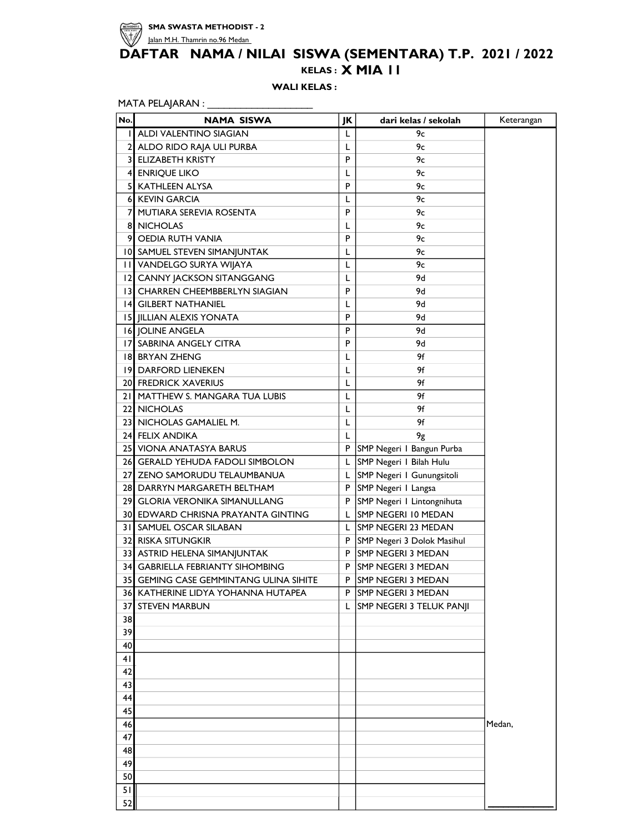

## KELAS : X MIA 11 DAFTAR NAMA / NILAI SISWA (SEMENTARA) T.P. 2021 / 2022

WALI KELAS:

| No. | <b>NAMA SISWA</b>                      | JΚ | dari kelas / sekolah       | Keterangan |
|-----|----------------------------------------|----|----------------------------|------------|
| L   | ALDI VALENTINO SIAGIAN                 | L  | $9c$                       |            |
|     | 2 ALDO RIDO RAJA ULI PURBA             | L  | 9с                         |            |
|     | <b>3 ELIZABETH KRISTY</b>              | P  | 9с                         |            |
|     | 4 ENRIQUE LIKO                         | L  | 9с                         |            |
| 5   | <b>KATHLEEN ALYSA</b>                  | P  | 9с                         |            |
|     | 6 KEVIN GARCIA                         | L  | 9c                         |            |
| 7   | MUTIARA SEREVIA ROSENTA                | P  | 9с                         |            |
|     | <b>8 NICHOLAS</b>                      | L  | 9с                         |            |
| 9   | <b>OEDIA RUTH VANIA</b>                | P  | 9с                         |            |
|     | 10 SAMUEL STEVEN SIMANJUNTAK           | L  | 9с                         |            |
|     | <b>II VANDELGO SURYA WIJAYA</b>        | L  | 9с                         |            |
|     | 12 CANNY JACKSON SITANGGANG            | L  | 9d                         |            |
|     | 13 CHARREN CHEEMBBERLYN SIAGIAN        | P  | 9d                         |            |
|     | <b>14 GILBERT NATHANIEL</b>            | L  | 9d                         |            |
|     | 15 JILLIAN ALEXIS YONATA               | P  | 9d                         |            |
|     | <b>16 JOLINE ANGELA</b>                | P  | 9d                         |            |
|     | 17 SABRINA ANGELY CITRA                | P  | 9d                         |            |
|     | 18 BRYAN ZHENG                         | L  | 9f                         |            |
|     | 19 DARFORD LIENEKEN                    | L  | 9f                         |            |
|     | <b>20 FREDRICK XAVERIUS</b>            | L  | 9f                         |            |
|     | 21 MATTHEW S. MANGARA TUA LUBIS        | L  | 9f                         |            |
|     | 22 NICHOLAS                            | L  | 9f                         |            |
|     | 23 NICHOLAS GAMALIEL M.                | L  | 9f                         |            |
|     | 24 FELIX ANDIKA                        | L  | 9g                         |            |
|     | 25 VIONA ANATASYA BARUS                | P  | SMP Negeri I Bangun Purba  |            |
|     | 26 GERALD YEHUDA FADOLI SIMBOLON       | L  | SMP Negeri I Bilah Hulu    |            |
|     | 27] ZENO SAMORUDU TELAUMBANUA          | L  | SMP Negeri I Gunungsitoli  |            |
|     | 28 DARRYN MARGARETH BELTHAM            | P  | SMP Negeri   Langsa        |            |
|     | 291 GLORIA VERONIKA SIMANULLANG        | P  | SMP Negeri I Lintongnihuta |            |
|     | 30 EDWARD CHRISNA PRAYANTA GINTING     | L  | SMP NEGERI 10 MEDAN        |            |
|     | <b>31 SAMUEL OSCAR SILABAN</b>         | L  | SMP NEGERI 23 MEDAN        |            |
|     | 32 RISKA SITUNGKIR                     | P  | SMP Negeri 3 Dolok Masihul |            |
|     | 33 ASTRID HELENA SIMANJUNTAK           | P  | <b>SMP NEGERI 3 MEDAN</b>  |            |
|     | 34 GABRIELLA FEBRIANTY SIHOMBING       | P  | ISMP NEGERI 3 MEDAN        |            |
|     | 35 GEMING CASE GEMMINTANG ULINA SIHITE | P  | SMP NEGERI 3 MEDAN         |            |
|     | 36 KATHERINE LIDYA YOHANNA HUTAPEA     |    | P SMP NEGERI 3 MEDAN       |            |
| 37  | <b>STEVEN MARBUN</b>                   | L  | SMP NEGERI 3 TELUK PANJI   |            |
| 38  |                                        |    |                            |            |
| 39  |                                        |    |                            |            |
| 40  |                                        |    |                            |            |
| 41  |                                        |    |                            |            |
| 42  |                                        |    |                            |            |
| 43  |                                        |    |                            |            |
| 44  |                                        |    |                            |            |
| 45  |                                        |    |                            |            |
| 46  |                                        |    |                            | Medan,     |
| 47  |                                        |    |                            |            |
| 48  |                                        |    |                            |            |
| 49  |                                        |    |                            |            |
| 50  |                                        |    |                            |            |
| 51  |                                        |    |                            |            |
| 52  |                                        |    |                            |            |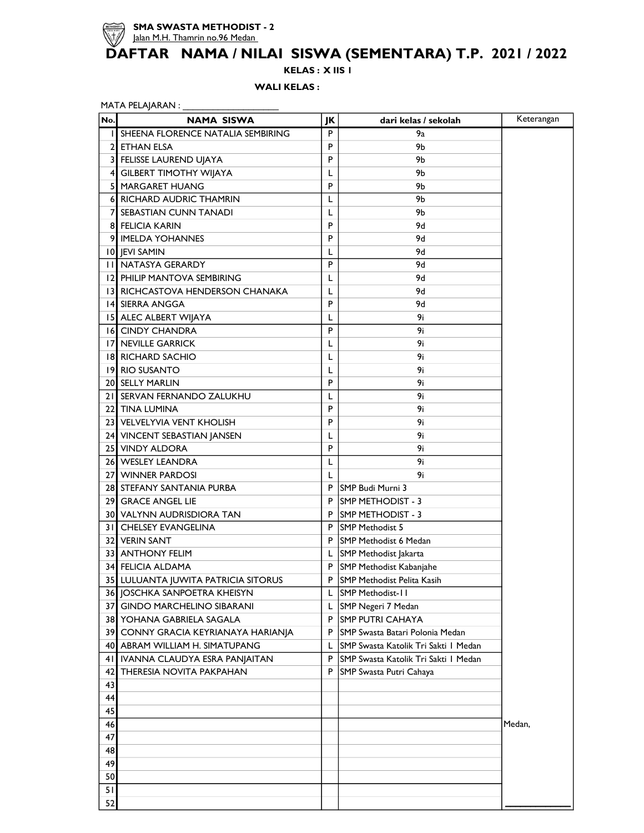

KELAS : X IIS 1

WALI KELAS :

| MATA PELAJARAN: |  |
|-----------------|--|
|                 |  |

| No.          | NAMA SISWA                          | JK        | dari kelas / sekolah                 | Keterangan |
|--------------|-------------------------------------|-----------|--------------------------------------|------------|
|              | I SHEENA FLORENCE NATALIA SEMBIRING | P         | 9а                                   |            |
| $\mathbf{2}$ | l ETHAN ELSA                        | P         | 9Ь                                   |            |
|              | 3 FELISSE LAUREND UJAYA             | P         | 9b                                   |            |
|              | 4 GILBERT TIMOTHY WIJAYA            | L         | 9b                                   |            |
| 5            | <b>MARGARET HUANG</b>               | P         | 9Ь                                   |            |
|              | 6 RICHARD AUDRIC THAMRIN            | L         | 9b                                   |            |
| 7            | <b>SEBASTIAN CUNN TANADI</b>        | L         | 9b                                   |            |
|              | <b>8 FELICIA KARIN</b>              | P         | 9d                                   |            |
|              | 9 IMELDA YOHANNES                   | P         | 9d                                   |            |
|              | <b>10 JEVI SAMIN</b>                | L         | 9d                                   |            |
|              | <b>II NATASYA GERARDY</b>           | P         | 9d                                   |            |
|              | 12 PHILIP MANTOVA SEMBIRING         | L         | 9d                                   |            |
|              | 13 RICHCASTOVA HENDERSON CHANAKA    | L         | 9d                                   |            |
|              | 14 SIERRA ANGGA                     | P         | 9d                                   |            |
|              | 15 ALEC ALBERT WIJAYA               | L         | 9i                                   |            |
|              | <b>16 CINDY CHANDRA</b>             | P         | 9i                                   |            |
|              | 17 NEVILLE GARRICK                  | L         | 9i                                   |            |
|              | <b>18 RICHARD SACHIO</b>            | L         | 9i                                   |            |
|              | 19 RIO SUSANTO                      | L         | 9i                                   |            |
|              | 20 SELLY MARLIN                     | P         | 9i                                   |            |
|              | 21 SERVAN FERNANDO ZALUKHU          | L         | 9i                                   |            |
|              | 22 TINA LUMINA                      | P         | 9i                                   |            |
|              | 23 VELVELYVIA VENT KHOLISH          | P         | 9i                                   |            |
|              | 24 VINCENT SEBASTIAN JANSEN         | L         | 9i                                   |            |
|              | 25 VINDY ALDORA                     | P         | 9i                                   |            |
|              | 26 WESLEY LEANDRA                   | L         | 9i                                   |            |
|              | 27 WINNER PARDOSI                   | L         | 9i                                   |            |
|              | 28 STEFANY SANTANIA PURBA           | P         | SMP Budi Murni 3                     |            |
|              | 29 GRACE ANGEL LIE                  | P         | ISMP METHODIST - 3                   |            |
|              | 30  VALYNN AUDRISDIORA TAN          | P         | <b>SMP METHODIST - 3</b>             |            |
|              | 31 CHELSEY EVANGELINA               | P         | <b>SMP Methodist 5</b>               |            |
|              | 32 VERIN SANT                       | P         | <b>SMP Methodist 6 Medan</b>         |            |
|              | 33 ANTHONY FELIM                    | L         | SMP Methodist Jakarta                |            |
|              | 34 FELICIA ALDAMA                   | P         | SMP Methodist Kabanjahe              |            |
|              | 35 LULUANTA JUWITA PATRICIA SITORUS | ${\sf P}$ | SMP Methodist Pelita Kasih           |            |
|              | 36 JOSCHKA SANPOETRA KHEISYN        | L         | <b>SMP Methodist-11</b>              |            |
|              | 37 GINDO MARCHELINO SIBARANI        | L         | SMP Negeri 7 Medan                   |            |
|              | 38 YOHANA GABRIELA SAGALA           | P         | <b>SMP PUTRI CAHAYA</b>              |            |
|              | 39 CONNY GRACIA KEYRIANAYA HARIANJA | P         | SMP Swasta Batari Polonia Medan      |            |
|              | 40 ABRAM WILLIAM H. SIMATUPANG      | L         | SMP Swasta Katolik Tri Sakti I Medan |            |
| 4 I I        | IVANNA CLAUDYA ESRA PANJAITAN       | P         | SMP Swasta Katolik Tri Sakti I Medan |            |
| 42           | THERESIA NOVITA PAKPAHAN            | P         | SMP Swasta Putri Cahaya              |            |
| 43           |                                     |           |                                      |            |
| 44           |                                     |           |                                      |            |
| 45           |                                     |           |                                      |            |
| 46           |                                     |           |                                      | Medan,     |
|              |                                     |           |                                      |            |
| 47           |                                     |           |                                      |            |
| 48           |                                     |           |                                      |            |
| 49           |                                     |           |                                      |            |
| 50           |                                     |           |                                      |            |
| 51           |                                     |           |                                      |            |
| 52           |                                     |           |                                      |            |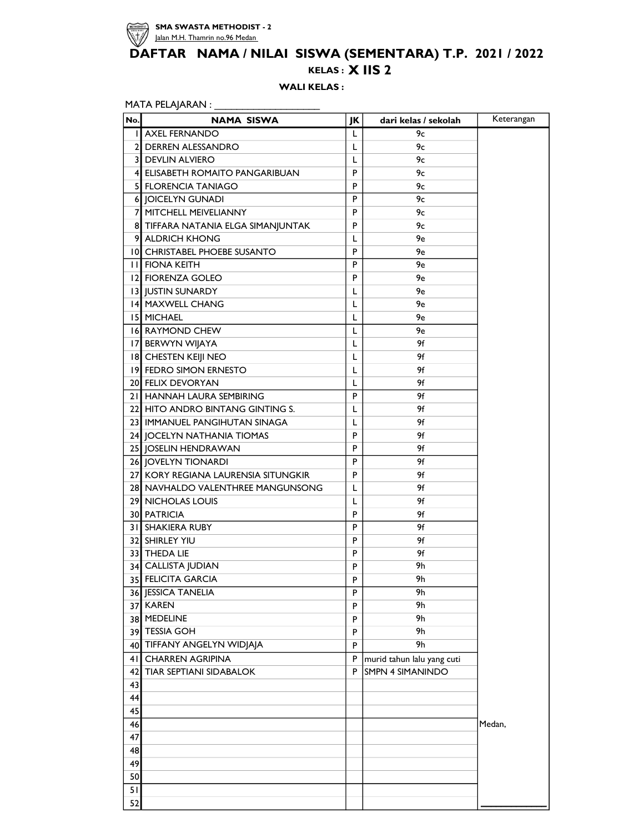

## KELAS : X IIS 2 DAFTAR NAMA / NILAI SISWA (SEMENTARA) T.P. 2021 / 2022

WALI KELAS :

| No. | <b>NAMA SISWA</b>                   | JK | dari kelas / sekolah       | Keterangan |
|-----|-------------------------------------|----|----------------------------|------------|
|     | <b>I AXEL FERNANDO</b>              | L  | 9с                         |            |
|     | 2 DERREN ALESSANDRO                 | L  | 9с                         |            |
|     | <b>3 DEVLIN ALVIERO</b>             | L  | 9с                         |            |
|     | 4 ELISABETH ROMAITO PANGARIBUAN     | P  | 9с                         |            |
|     | 5 FLORENCIA TANIAGO                 | P  | 9с                         |            |
|     | 6 JOICELYN GUNADI                   | P  | 9с                         |            |
|     | 7 MITCHELL MEIVELIANNY              | P  | 9с                         |            |
|     | 8 TIFFARA NATANIA ELGA SIMANJUNTAK  | P  | 9с                         |            |
|     | 9 ALDRICH KHONG                     | L  | 9e                         |            |
|     | 10 CHRISTABEL PHOEBE SUSANTO        | P  | 9e                         |            |
|     | <b>II FIONA KEITH</b>               | P  | 9e                         |            |
|     | 12 FIORENZA GOLEO                   | P  | 9e                         |            |
|     | 13 JUSTIN SUNARDY                   | L  | 9e                         |            |
|     | 14 MAXWELL CHANG                    | L  | 9e                         |            |
|     | <b>15 MICHAEL</b>                   | L  | 9e                         |            |
|     | <b>16 RAYMOND CHEW</b>              | L  | 9e                         |            |
|     | 17 BERWYN WIJAYA                    | L  | 9f                         |            |
|     | 18 CHESTEN KEIJI NEO                | L  | 9f                         |            |
|     | 19 FEDRO SIMON ERNESTO              | L  | 9f                         |            |
|     | 20 FELIX DEVORYAN                   | L  | 9f                         |            |
|     | 21 HANNAH LAURA SEMBIRING           | P  | 9f                         |            |
|     | 22 HITO ANDRO BINTANG GINTING S.    | L  | 9f                         |            |
|     | 23 IMMANUEL PANGIHUTAN SINAGA       | L  | 9f                         |            |
|     | 24 JOCELYN NATHANIA TIOMAS          | P  | 9f                         |            |
|     | 25 JOSELIN HENDRAWAN                | P  | 9f                         |            |
|     | 26 JOVELYN TIONARDI                 | P  | 9f                         |            |
|     | 27 KORY REGIANA LAURENSIA SITUNGKIR | P  | 9f                         |            |
|     | 28 NAVHALDO VALENTHREE MANGUNSONG   | L  | 9f                         |            |
|     | 29 NICHOLAS LOUIS                   | L  | 9f                         |            |
|     | 30 PATRICIA                         | P  | 9f                         |            |
|     | 31 SHAKIERA RUBY                    | P  | 9f                         |            |
|     | 32 SHIRLEY YIU                      | P  | 9f                         |            |
|     | 33 THEDA LIE                        | P  | 9f                         |            |
|     | 34 CALLISTA JUDIAN                  | P  | 9h                         |            |
|     | 35 FELICITA GARCIA                  | P  | 9h                         |            |
|     | <b>36 JESSICA TANELIA</b>           | P  | 9h                         |            |
|     | 37 KAREN                            | P  | 9h                         |            |
|     | 38 MEDELINE                         | P  | 9h                         |            |
|     | 39 TESSIA GOH                       | P  | 9h                         |            |
|     | 40 TIFFANY ANGELYN WIDJAJA          | P  | 9h                         |            |
|     | 41 CHARREN AGRIPINA                 | P  | murid tahun lalu yang cuti |            |
|     | 42 TIAR SEPTIANI SIDABALOK          | P. | <b>SMPN 4 SIMANINDO</b>    |            |
| 43  |                                     |    |                            |            |
| 44  |                                     |    |                            |            |
| 45  |                                     |    |                            |            |
| 46  |                                     |    |                            | Medan,     |
| 47  |                                     |    |                            |            |
| 48  |                                     |    |                            |            |
| 49  |                                     |    |                            |            |
| 50  |                                     |    |                            |            |
| 51  |                                     |    |                            |            |
| 52  |                                     |    |                            |            |